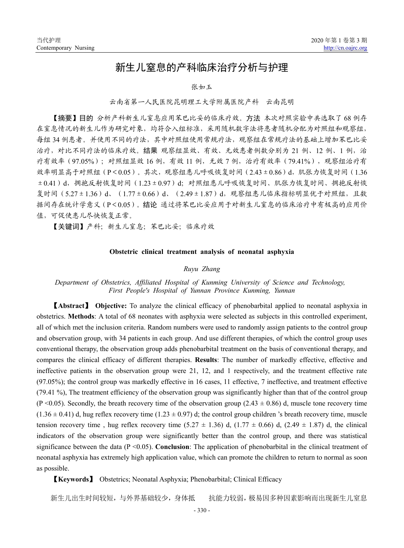# 新生儿窒息的产科临床治疗分析与护理

#### 张如玉

### 云南省第一人民医院昆明理工大学附属医院产科 云南昆明

【摘要】目的 分析产科新生儿窒息应用苯巴比妥的临床疗效。方法 本次对照实验中共选取了 68 例存 在窒息情况的新生儿作为研究对象,均符合入组标准,采用随机数字法将患者随机分配为对照组和观察组, 每组 34 例患者。并使用不同的疗法,其中对照组使用常规疗法,观察组在常规疗法的基础上增加苯巴比妥 治疗,对比不同疗法的临床疗效。结果 观察组显效、有效、无效患者例数分别为 21 例、12 例、1 例, 治 疗有效率(97.05%);对照组显效 16 例,有效 11 例,无效 7 例,治疗有效率(79.41%),观察组治疗有 效率明显高于对照组(P<0.05)。其次,观察组患儿呼吸恢复时间(2.43±0.86)d, 肌张力恢复时间(1.36 ±0.41)d,拥抱反射恢复时间(1.23±0.97)d;对照组患儿呼吸恢复时间、肌张力恢复时间、拥抱反射恢 复时间(5.27±1.36)d、(1.77±0.66)d、(2.49±1.87)d,观察组患儿临床指标明显优于对照组,且数 据间存在统计学意义(P<0.05)。结论 通过将苯巴比妥应用于对新生儿窒息的临床治疗中有极高的应用价 值,可促使患儿尽快恢复正常。

【关键词】产科;新生儿窒息;苯巴比妥;临床疗效

#### **Obstetric clinical treatment analysis of neonatal asphyxia**

## *Ruyu Zhang*

## *Department of Obstetrics, Affiliated Hospital of Kunming University of Science and Technology, First People's Hospital of Yunnan Province Kunming, Yunnan*

【**Abstract**】 **Objective:** To analyze the clinical efficacy of phenobarbital applied to neonatal asphyxia in obstetrics. **Methods**: A total of 68 neonates with asphyxia were selected as subjects in this controlled experiment, all of which met the inclusion criteria. Random numbers were used to randomly assign patients to the control group and observation group, with 34 patients in each group. And use different therapies, of which the control group uses conventional therapy, the observation group adds phenobarbital treatment on the basis of conventional therapy, and compares the clinical efficacy of different therapies. **Results**: The number of markedly effective, effective and ineffective patients in the observation group were 21, 12, and 1 respectively, and the treatment effective rate (97.05%); the control group was markedly effective in 16 cases, 11 effective, 7 ineffective, and treatment effective (79.41 %), The treatment efficiency of the observation group was significantly higher than that of the control group (P <0.05). Secondly, the breath recovery time of the observation group (2.43  $\pm$  0.86) d, muscle tone recovery time  $(1.36 \pm 0.41)$  d, hug reflex recovery time  $(1.23 \pm 0.97)$  d; the control group children 's breath recovery time, muscle tension recovery time, hug reflex recovery time  $(5.27 \pm 1.36)$  d,  $(1.77 \pm 0.66)$  d,  $(2.49 \pm 1.87)$  d, the clinical indicators of the observation group were significantly better than the control group, and there was statistical significance between the data  $(P \le 0.05)$ . **Conclusion**: The application of phenobarbital in the clinical treatment of neonatal asphyxia has extremely high application value, which can promote the children to return to normal as soon as possible.

【**Keywords**】 Obstetrics; Neonatal Asphyxia; Phenobarbital; Clinical Efficacy

新生儿出生时间较短,与外界基础较少,身体抵 抗能力较弱,极易因多种因素影响而出现新生儿窒息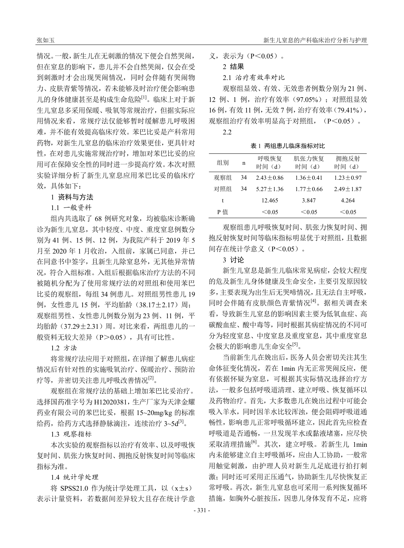情况。一般,新生儿在无刺激的情况下便会自然哭闹, 但在窒息的影响下,患儿并不会自然哭闹,仅会在受 到刺激时才会出现哭闹情况,同时会伴随有哭闹物 力、皮肤青紫等情况,若未能够及时治疗便会影响患 儿的身体健康甚至是构成生命危险[1]。临床上对于新 生儿窒息多采用保暖、吸氧等常规治疗,但据实际应 用情况来看,常规疗法仅能够暂时缓解患儿呼吸困 难,并不能有效提高临床疗效。苯巴比妥是产科常用 药物,对新生儿窒息的临床治疗效果更佳,更具针对 性,在对患儿实施常规治疗时,增加对苯巴比妥的应 用可在保障安全性的同时进一步提高疗效。本次对照 实验详细分析了新生儿窒息应用苯巴比妥的临床疗 效,具体如下:

# 1 资料与方法

1.1 一般资料

组内共选取了 68 例研究对象,均被临床诊断确 诊为新生儿窒息,其中轻度、中度、重度窒息例数分 别为 41 例、15 例、12 例, 为我院产科于 2019 年 5 月至 2020 年 1 月收治,入组前,家属已同意,并已 在同意书中签字,且新生儿除窒息外,无其他异常情 况,符合入组标准。入组后根据临床治疗方法的不同 被随机分配为了使用常规疗法的对照组和使用苯巴 比妥的观察组,每组 34 例患儿。对照组男性患儿 19 例, 女性患儿 15 例, 平均胎龄 (38.17±2.17) 周; 观察组男性、女性患儿例数分别为 23 例、11 例, 平 均胎龄(37.29±2.31)周。对比来看,两组患儿的一 般资料无较大差异(P>0.05), 具有可比性。

1.2 方法

将常规疗法应用于对照组,在详细了解患儿病症 情况后有针对性的实施吸氧治疗、保暖治疗、预防治 疗等,并密切关注患儿呼吸改善情况[2]。

观察组在常规疗法的基础上增加苯巴比妥治疗。 选择国药准字号为 H12020381, 生产厂家为天津金耀 药业有限公司的苯巴比妥,根据 15~20mg/kg 的标准 给药,给药方式选择静脉滴注,连续治疗 3~5d<sup>[3]</sup>。

1.3 观察指标

本次实验的观察指标以治疗有效率、以及呼吸恢 复时间、肌张力恢复时间、拥抱反射恢复时间等临床 指标为准。

1.4 统计学处理

将 SPSS21.0 作为统计学处理工具, 以 $(x \pm s)$ 表示计量资料,若数据间差异较大且存在统计学意 义,表示为(P<0.05)。

```
2 结果
```
2.1 治疗有效率对比

观察组显效、有效、无效患者例数分别为 21 例、 12 例、1 例,治疗有效率(97.05%);对照组显效 16 例,有效 11 例,无效 7 例,治疗有效率(79.41%), 观察组治疗有效率明显高于对照组, (P<0.05)。

2.2

表 1 两组患儿临床指标对比

| 组别  | n  | 呼吸恢复<br>时间 (d) | 肌张力恢复<br>时间 (d) | 拥抱反射<br>时间 (d)  |
|-----|----|----------------|-----------------|-----------------|
| 观察组 | 34 | $2.43 + 0.86$  | $1.36 + 0.41$   | $1.23 + 0.97$   |
| 对照组 | 34 | $5.27 + 1.36$  | $1.77 + 0.66$   | $2.49 \pm 1.87$ |
| t   |    | 12.465         | 3.847           | 4.264           |
| P 值 |    | < 0.05         | < 0.05          | < 0.05          |

观察组患儿呼吸恢复时间、肌张力恢复时间、拥 抱反射恢复时间等临床指标明显优于对照组,且数据 间存在统计学意义(P<0.05)。

## 3 讨论

新生儿窒息是新生儿临床常见病症,会较大程度 的危及新生儿身体健康及生命安全,主要引发原因较 多,主要表现为出生后无哭啼情况,且无法自主呼吸, 同时会伴随有皮肤颜色青紫情况[4]。据相关调查来 看,导致新生儿窒息的影响因素主要为低氧血症、高 碳酸血症、酸中毒等,同时根据其病症情况的不同可 分为轻度窒息、中度窒息及重度窒息,其中重度窒息 会极大的影响患儿生命安全[5]。

当前新生儿在娩出后,医务人员会密切关注其生 命体征变化情况, 若在 1min 内无正常哭闹反应, 便 有依据怀疑为窒息,可根据其实际情况选择治疗方 法,一般多包括呼吸道清理、建立呼吸、恢复循环以 及药物治疗。首先,大多数患儿在娩出过程中可能会 吸入羊水,同时因羊水比较浑浊,便会阻碍呼吸道通 畅性,影响患儿正常呼吸循环建立,因此首先应检查 呼吸道是否通畅,一旦发现羊水或黏液堵塞,应尽快 采取清理措施<sup>[6]</sup>。其次,建立呼吸。若新生儿 1min 内未能够建立自主呼吸循环,应由人工协助,一般常 用触觉刺激,由护理人员对新生儿足底进行拍打刺 激;同时还可采用正压通气,协助新生儿尽快恢复正 常呼吸。再次,新生儿窒息也可采用一系列恢复循环 措施,如胸外心脏按压,因患儿身体发育不足,应将